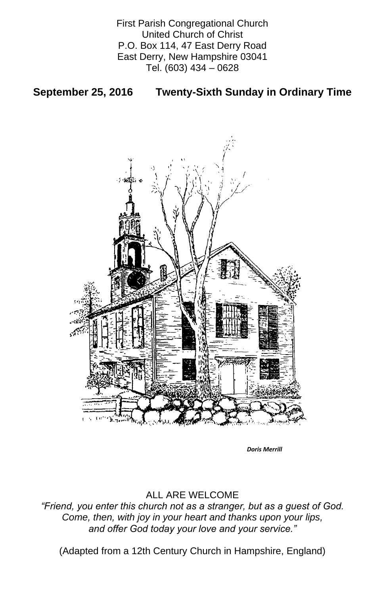First Parish Congregational Church United Church of Christ P.O. Box 114, 47 East Derry Road East Derry, New Hampshire 03041 Tel. (603) 434 – 0628

# **September 25, 2016 Twenty-Sixth Sunday in Ordinary Time**



### ALL ARE WELCOME

*"Friend, you enter this church not as a stranger, but as a guest of God. Come, then, with joy in your heart and thanks upon your lips, and offer God today your love and your service."*

(Adapted from a 12th Century Church in Hampshire, England)

*Doris Merrill*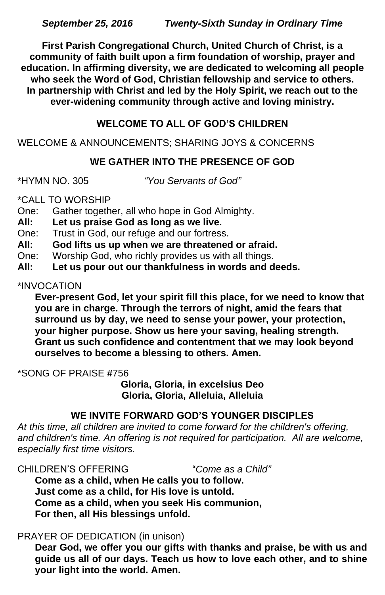**First Parish Congregational Church, United Church of Christ, is a community of faith built upon a firm foundation of worship, prayer and education. In affirming diversity, we are dedicated to welcoming all people who seek the Word of God, Christian fellowship and service to others. In partnership with Christ and led by the Holy Spirit, we reach out to the ever-widening community through active and loving ministry.**

# **WELCOME TO ALL OF GOD'S CHILDREN**

# WELCOME & ANNOUNCEMENTS; SHARING JOYS & CONCERNS

# **WE GATHER INTO THE PRESENCE OF GOD**

\*HYMN NO. 305 *"You Servants of God"*

\*CALL TO WORSHIP

- One: Gather together, all who hope in God Almighty.
- **All: Let us praise God as long as we live.**
- One: Trust in God, our refuge and our fortress.
- **All: God lifts us up when we are threatened or afraid.**
- One: Worship God, who richly provides us with all things.
- **All: Let us pour out our thankfulness in words and deeds.**

#### \*INVOCATION

**Ever-present God, let your spirit fill this place, for we need to know that you are in charge. Through the terrors of night, amid the fears that surround us by day, we need to sense your power, your protection, your higher purpose. Show us here your saving, healing strength. Grant us such confidence and contentment that we may look beyond ourselves to become a blessing to others. Amen.**

\*SONG OF PRAISE **#**756

**Gloria, Gloria, in excelsius Deo Gloria, Gloria, Alleluia, Alleluia**

# **WE INVITE FORWARD GOD'S YOUNGER DISCIPLES**

*At this time, all children are invited to come forward for the children's offering,*  and children's time. An offering is not required for participation. All are welcome, *especially first time visitors.*

CHILDREN'S OFFERING "*Come as a Child"* **Come as a child, when He calls you to follow. Just come as a child, for His love is untold. Come as a child, when you seek His communion, For then, all His blessings unfold.**

### PRAYER OF DEDICATION (in unison)

**Dear God, we offer you our gifts with thanks and praise, be with us and guide us all of our days. Teach us how to love each other, and to shine your light into the world. Amen.**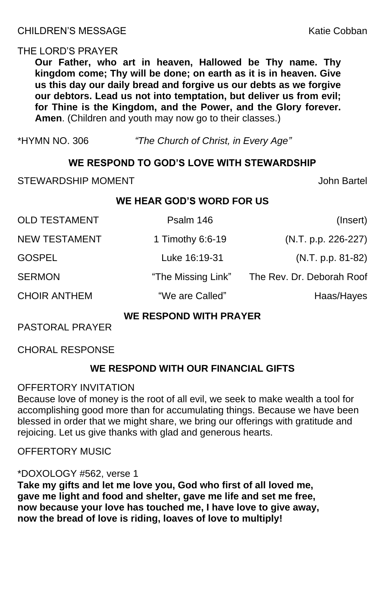### THE LORD'S PRAYER

**Our Father, who art in heaven, Hallowed be Thy name. Thy kingdom come; Thy will be done; on earth as it is in heaven. Give us this day our daily bread and forgive us our debts as we forgive our debtors. Lead us not into temptation, but deliver us from evil; for Thine is the Kingdom, and the Power, and the Glory forever. Amen**. (Children and youth may now go to their classes.)

\*HYMN NO. 306 *"The Church of Christ, in Every Age"*

### **WE RESPOND TO GOD'S LOVE WITH STEWARDSHIP**

STEWARDSHIP MOMENT STEWARDSHIP MOMENT

# **WE HEAR GOD'S WORD FOR US**

| Psalm 146          | (Insert)                  |
|--------------------|---------------------------|
| 1 Timothy 6:6-19   | (N.T. p.p. 226-227)       |
| Luke 16:19-31      | $(N.T. p.p. 81-82)$       |
| "The Missing Link" | The Rev. Dr. Deborah Roof |
| "We are Called"    | Haas/Hayes                |
|                    |                           |

#### **WE RESPOND WITH PRAYER**

PASTORAL PRAYER

CHORAL RESPONSE

# **WE RESPOND WITH OUR FINANCIAL GIFTS**

OFFERTORY INVITATION

Because love of money is the root of all evil, we seek to make wealth a tool for accomplishing good more than for accumulating things. Because we have been blessed in order that we might share, we bring our offerings with gratitude and rejoicing. Let us give thanks with glad and generous hearts.

### OFFERTORY MUSIC

#### \*DOXOLOGY #562, verse 1

**Take my gifts and let me love you, God who first of all loved me, gave me light and food and shelter, gave me life and set me free, now because your love has touched me, I have love to give away, now the bread of love is riding, loaves of love to multiply!**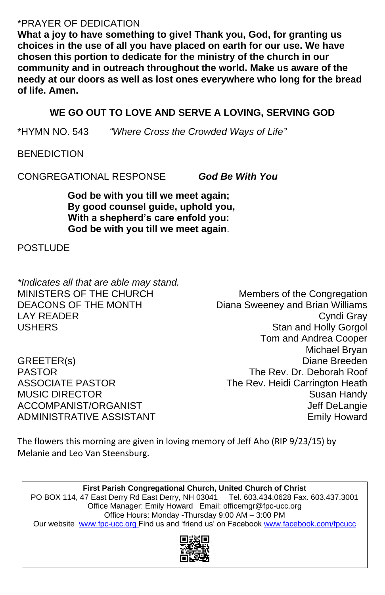# \*PRAYER OF DEDICATION

**What a joy to have something to give! Thank you, God, for granting us choices in the use of all you have placed on earth for our use. We have chosen this portion to dedicate for the ministry of the church in our community and in outreach throughout the world. Make us aware of the needy at our doors as well as lost ones everywhere who long for the bread of life. Amen.**

*\*Indicates all that are able may stand.* MINISTERS OF THE CHURCH Members of the Congregation DEACONS OF THE MONTH Diana Sweeney and Brian Williams LAY READER Cyndi Gray

USHERS **Standard Manufacturer Contract Contract Contract Contract Contract Contract Contract Contract Contract Contract Contract Contract Contract Contract Contract Contract Contract Contract Contract Contract Contract Con** Tom and Andrea Cooper Michael Bryan GREETER(s) Diane Breeden PASTOR The Rev. Dr. Deborah Roof ASSOCIATE PASTOR The Rev. Heidi Carrington Heath MUSIC DIRECTOR Susan Handy ACCOMPANIST/ORGANIST ACCOMPANIST/ ACCOMPANIST/ THE STATE AND THE STATE ASSESSMENT ASSESSMENT ASSESSMENT ASSESSMENT ASSESSMENT ASSESSMENT AND THE STATE ASSESSMENT ASSESSMENT ASSESSMENT ASSESSMENT ASSESSMENT ASSESSMENT ASSES ADMINISTRATIVE ASSISTANT **EXAMPLE 19** Emily Howard

# **WE GO OUT TO LOVE AND SERVE A LOVING, SERVING GOD**

\*HYMN NO. 543 *"Where Cross the Crowded Ways of Life"*

**BENEDICTION** 

CONGREGATIONAL RESPONSE *God Be With You*

**God be with you till we meet again; By good counsel guide, uphold you, With a shepherd's care enfold you: God be with you till we meet again**.

POSTI UDF

The flowers this morning are given in loving memory of Jeff Aho (RIP 9/23/15) by Melanie and Leo Van Steensburg.

#### **First Parish Congregational Church, United Church of Christ** PO BOX 114, 47 East Derry Rd East Derry, NH 03041 Tel. 603.434.0628 Fax. 603.437.3001 Office Manager: Emily Howard Email: officemgr@fpc-ucc.org Office Hours: Monday -Thursday 9:00 AM – 3:00 PM Our website [www.fpc-ucc.org](http://www.fpc-ucc.org/) Find us and 'friend us' on Facebook [www.facebook.com/fpcucc](http://www.facebook.com/fpcucc)